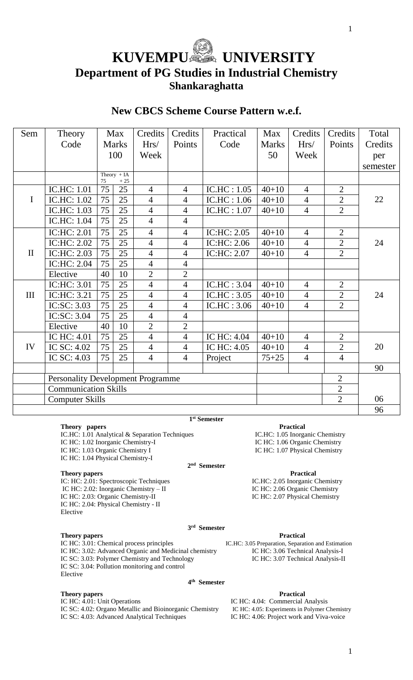# **KUVEMPUSSE UNIVERSITY Department of PG Studies in Industrial Chemistry Shankaraghatta**

# **New CBCS Scheme Course Pattern w.e.f.**

| Sem          | Theory                                                     | Max          |                          | Credits        | Credits        | Practical   | Max          | Credits        | Credits        | Total    |
|--------------|------------------------------------------------------------|--------------|--------------------------|----------------|----------------|-------------|--------------|----------------|----------------|----------|
|              | Code                                                       | <b>Marks</b> |                          | Hrs/           | Points         | Code        | <b>Marks</b> | Hrs/           | Points         | Credits  |
|              |                                                            | 100          |                          | Week           |                |             | 50           | Week           |                | per      |
|              |                                                            |              |                          |                |                |             |              |                |                | semester |
|              |                                                            | 75           | Theory $+ IA$<br>$+\,25$ |                |                |             |              |                |                |          |
|              | <b>IC.HC: 1.01</b>                                         | 75           | 25                       | $\overline{4}$ | $\overline{4}$ | IC.HC: 1.05 | $40 + 10$    | $\overline{4}$ | $\overline{2}$ |          |
| $\mathbf I$  | IC.HC: 1.02                                                | 75           | 25                       | $\overline{4}$ | $\overline{4}$ | IC.HC: 1.06 | $40 + 10$    | $\overline{4}$ | $\overline{2}$ | 22       |
|              | IC.HC: 1.03                                                | 75           | 25                       | $\overline{4}$ | $\overline{4}$ | IC.HC: 1.07 | $40 + 10$    | $\overline{4}$ | $\overline{2}$ |          |
|              | IC.HC: 1.04                                                | 75           | 25                       | $\overline{4}$ | $\overline{4}$ |             |              |                |                |          |
|              | IC:HC: 2.01                                                | 75           | 25                       | $\overline{4}$ | $\overline{4}$ | IC:HC: 2.05 | $40 + 10$    | $\overline{4}$ | $\overline{2}$ |          |
|              | IC:HC: 2.02                                                | 75           | 25                       | $\overline{4}$ | $\overline{4}$ | IC:HC: 2.06 | $40 + 10$    | $\overline{4}$ | $\overline{2}$ | 24       |
| $\mathbf{I}$ | IC:HC: 2.03                                                | 75           | 25                       | $\overline{4}$ | $\overline{4}$ | IC:HC: 2.07 | $40 + 10$    | $\overline{4}$ | $\overline{2}$ |          |
|              | IC:HC: 2.04                                                | 75           | 25                       | $\overline{4}$ | $\overline{4}$ |             |              |                |                |          |
|              | Elective                                                   | 40           | 10                       | $\overline{2}$ | $\overline{2}$ |             |              |                |                |          |
|              | IC:HC: 3.01                                                | 75           | 25                       | $\overline{4}$ | $\overline{4}$ | IC.HC: 3.04 | $40 + 10$    | $\overline{4}$ | $\overline{2}$ |          |
| III          | IC:HC: 3.21                                                | 75           | 25                       | $\overline{4}$ | $\overline{4}$ | IC.HC: 3.05 | $40 + 10$    | $\overline{4}$ | $\overline{2}$ | 24       |
|              | IC:SC: 3.03                                                | 75           | 25                       | $\overline{4}$ | $\overline{4}$ | IC.HC: 3.06 | $40 + 10$    | $\overline{4}$ | $\overline{2}$ |          |
|              | IC:SC: 3.04                                                | 75           | 25                       | $\overline{4}$ | $\overline{4}$ |             |              |                |                |          |
|              | Elective                                                   | 40           | 10                       | $\overline{2}$ | $\overline{2}$ |             |              |                |                |          |
|              | IC HC: 4.01                                                | 75           | 25                       | $\overline{4}$ | $\overline{4}$ | IC HC: 4.04 | $40 + 10$    | $\overline{4}$ | $\overline{2}$ |          |
| IV           | IC SC: 4.02                                                | 75           | 25                       | $\overline{4}$ | $\overline{4}$ | IC HC: 4.05 | $40 + 10$    | $\overline{4}$ | $\overline{2}$ | 20       |
|              | IC SC: 4.03                                                | 75           | 25                       | $\overline{4}$ | $\overline{4}$ | Project     | $75 + 25$    | $\overline{4}$ | $\overline{4}$ |          |
|              |                                                            |              |                          |                |                |             |              |                |                | 90       |
|              | <b>Personality Development Programme</b><br>$\overline{2}$ |              |                          |                |                |             |              |                |                |          |
|              | $\overline{2}$<br><b>Communication Skills</b>              |              |                          |                |                |             |              |                |                |          |
|              | $\overline{2}$<br><b>Computer Skills</b>                   |              |                          |                |                |             |              |                |                | 06       |
|              |                                                            |              |                          |                |                |             |              |                |                | 96       |

**Theory papers**<br> **Practical**<br> **IC.HC:** 1.01 Analytical & Separation Techniques<br> **IC.HC:** 1.05 Inorganic Chemistry IC.HC: 1.01 Analytical & Separation Techniques IC HC: 1.02 Inorganic Chemistry-I IC HC: 1.06 Organic Chemistry IC HC: 1.03 Organic Chemistry I IC HC: 1.07 Physical Chemistry IC HC: 1.04 Physical Chemistry-I **2 nd Semester**

#### **Theory papers Practical**

IC: HC: 2.01: Spectroscopic Techniques IC.HC: 2.05 Inorganic Chemistry IC HC: 2.02: Inorganic Chemistry – II IC HC: 2.06 Organic Chemistry IC HC: 2.03: Organic Chemistry-II IC HC: 2.07 Physical Chemistry IC HC: 2.04: Physical Chemistry - II Elective

## **Theory papers Practical**

IC HC: 3.01: Chemical process principles IC.HC: 3.05 Preparation, Separation and Estimation IC HC: 3.02: Advanced Organic and Medicinal chemistry IC HC: 3.06 Technical Analysis-I IC SC: 3.03: Polymer Chemistry and Technology IC HC: 3.07 Technical Analysis-II IC SC: 3.04: Pollution monitoring and control

# Elective

**Theory papers Practical**<br> **IC HC: 4.04: Commercial**<br> **Practical**<br> **IC HC: 4.04: Commercial** IC SC: 4.02: Organo Metallic and Bioinorganic Chemistry IC HC: 4.05: Experiments in Polymer Chemist<br>IC SC: 4.03: Advanced Analytical Techniques IC HC: 4.06: Project work and Viva-voice IC SC: 4.03: Advanced Analytical Techniques

IC HC: 4.04: Commercial Analysis<br>IC HC: 4.05: Experiments in Polymer Chemistry

**3 rd Semester**

**4 th Semester**

**1 st Semester**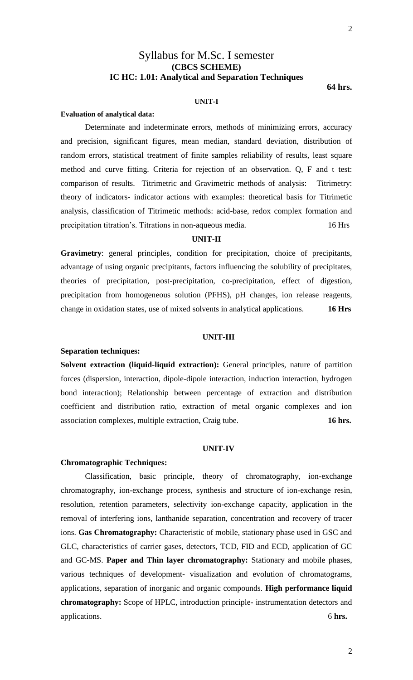# Syllabus for M.Sc. I semester **(CBCS SCHEME) IC HC: 1.01: Analytical and Separation Techniques**

**64 hrs.**

# **UNIT-I**

#### **Evaluation of analytical data:**

Determinate and indeterminate errors, methods of minimizing errors, accuracy and precision, significant figures, mean median, standard deviation, distribution of random errors, statistical treatment of finite samples reliability of results, least square method and curve fitting. Criteria for rejection of an observation. Q, F and t test: comparison of results. Titrimetric and Gravimetric methods of analysis: Titrimetry: theory of indicators- indicator actions with examples: theoretical basis for Titrimetic analysis, classification of Titrimetic methods: acid-base, redox complex formation and precipitation titration's. Titrations in non-aqueous media.16 Hrs

# **UNIT-II**

**Gravimetry**: general principles, condition for precipitation, choice of precipitants, advantage of using organic precipitants, factors influencing the solubility of precipitates, theories of precipitation, post-precipitation, co-precipitation, effect of digestion, precipitation from homogeneous solution (PFHS), pH changes, ion release reagents, change in oxidation states, use of mixed solvents in analytical applications. **16 Hrs**

# **UNIT-III**

### **Separation techniques:**

**Solvent extraction (liquid-liquid extraction):** General principles, nature of partition forces (dispersion, interaction, dipole-dipole interaction, induction interaction, hydrogen bond interaction); Relationship between percentage of extraction and distribution coefficient and distribution ratio, extraction of metal organic complexes and ion association complexes, multiple extraction, Craig tube. **16 hrs.**

#### **UNIT-IV**

## **Chromatographic Techniques:**

Classification, basic principle, theory of chromatography, ion-exchange chromatography, ion-exchange process, synthesis and structure of ion-exchange resin, resolution, retention parameters, selectivity ion-exchange capacity, application in the removal of interfering ions, lanthanide separation, concentration and recovery of tracer ions. **Gas Chromatography:** Characteristic of mobile, stationary phase used in GSC and GLC, characteristics of carrier gases, detectors, TCD, FID and ECD, application of GC and GC-MS. **Paper and Thin layer chromatography:** Stationary and mobile phases, various techniques of development- visualization and evolution of chromatograms, applications, separation of inorganic and organic compounds. **High performance liquid chromatography:** Scope of HPLC, introduction principle- instrumentation detectors and applications. 6 **hrs.**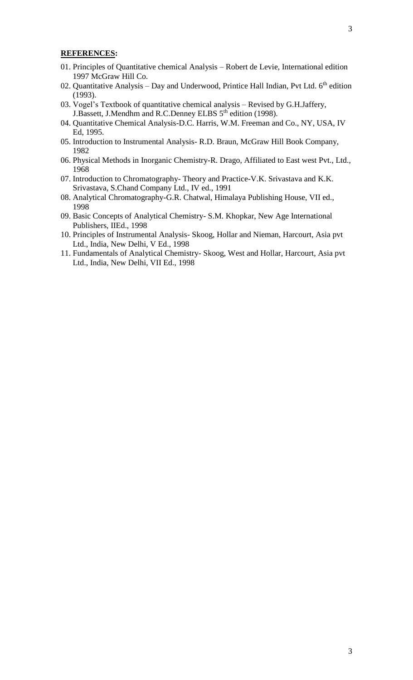- 01. Principles of Quantitative chemical Analysis Robert de Levie, International edition 1997 McGraw Hill Co.
- 02. Quantitative Analysis Day and Underwood, Printice Hall Indian, Pvt Ltd.  $6<sup>th</sup>$  edition (1993).
- 03. Vogel's Textbook of quantitative chemical analysis Revised by G.H.Jaffery, J.Bassett, J.Mendhm and R.C.Denney ELBS 5<sup>th</sup> edition (1998).
- 04. Quantitative Chemical Analysis-D.C. Harris, W.M. Freeman and Co., NY, USA, IV Ed, 1995.
- 05. Introduction to Instrumental Analysis- R.D. Braun, McGraw Hill Book Company, 1982
- 06. Physical Methods in Inorganic Chemistry-R. Drago, Affiliated to East west Pvt., Ltd., 1968
- 07. Introduction to Chromatography- Theory and Practice-V.K. Srivastava and K.K. Srivastava, S.Chand Company Ltd., IV ed., 1991
- 08. Analytical Chromatography-G.R. Chatwal, Himalaya Publishing House, VII ed., 1998
- 09. Basic Concepts of Analytical Chemistry- S.M. Khopkar, New Age International Publishers, IIEd., 1998
- 10. Principles of Instrumental Analysis- Skoog, Hollar and Nieman, Harcourt, Asia pvt Ltd., India, New Delhi, V Ed., 1998
- 11. Fundamentals of Analytical Chemistry- Skoog, West and Hollar, Harcourt, Asia pvt Ltd., India, New Delhi, VII Ed., 1998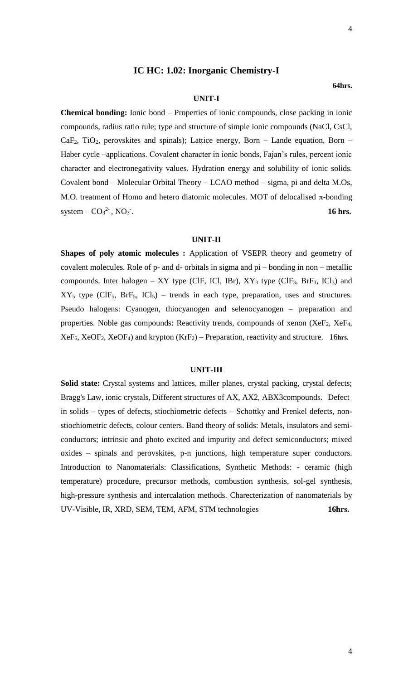# **IC HC: 1.02: Inorganic Chemistry-I**

#### **64hrs.**

# **UNIT-I**

**Chemical bonding:** Ionic bond – Properties of ionic compounds, close packing in ionic compounds, radius ratio rule; type and structure of simple ionic compounds (NaCl, CsCl,  $CaF<sub>2</sub>$ , TiO<sub>2</sub>, perovskites and spinals); Lattice energy, Born – Lande equation, Born – Haber cycle –applications. Covalent character in ionic bonds, Fajan's rules, percent ionic character and electronegativity values. Hydration energy and solubility of ionic solids. Covalent bond – Molecular Orbital Theory – LCAO method – sigma, pi and delta M.Os, M.O. treatment of Homo and hetero diatomic molecules. MOT of delocalised  $\pi$ -bonding system  $-CO<sub>3</sub><sup>2</sup>$ , NO<sub>3</sub> . **16 hrs.**

#### **UNIT-II**

**Shapes of poly atomic molecules :** Application of VSEPR theory and geometry of covalent molecules. Role of p- and d- orbitals in sigma and pi – bonding in non – metallic compounds. Inter halogen – XY type (ClF, ICl, IBr),  $XY_3$  type (ClF<sub>3</sub>, BrF<sub>3</sub>, ICl<sub>3</sub>) and  $XY_5$  type (ClF<sub>5</sub>, BrF<sub>5</sub>, ICl<sub>5</sub>) – trends in each type, preparation, uses and structures. Pseudo halogens: Cyanogen, thiocyanogen and selenocyanogen – preparation and properties. Noble gas compounds: Reactivity trends, compounds of xenon (XeF<sub>2</sub>, XeF<sub>4</sub>, XeF6, XeOF2, XeOF4) and krypton (KrF2) – Preparation, reactivity and structure. 16**hrs.**

#### **UNIT-III**

**Solid state:** Crystal systems and lattices, miller planes, crystal packing, crystal defects; Bragg's Law, ionic crystals, Different structures of AX, AX2, ABX3compounds. Defect in solids – types of defects, stiochiometric defects – Schottky and Frenkel defects, nonstiochiometric defects, colour centers. Band theory of solids: Metals, insulators and semiconductors; intrinsic and photo excited and impurity and defect semiconductors; mixed oxides – spinals and perovskites, p-n junctions, high temperature super conductors. Introduction to Nanomaterials: Classifications, Synthetic Methods: - ceramic (high temperature) procedure, precursor methods, combustion synthesis, sol-gel synthesis, high-pressure synthesis and intercalation methods. Charecterization of nanomaterials by UV-Visible, IR, XRD, SEM, TEM, AFM, STM technologies **16hrs.**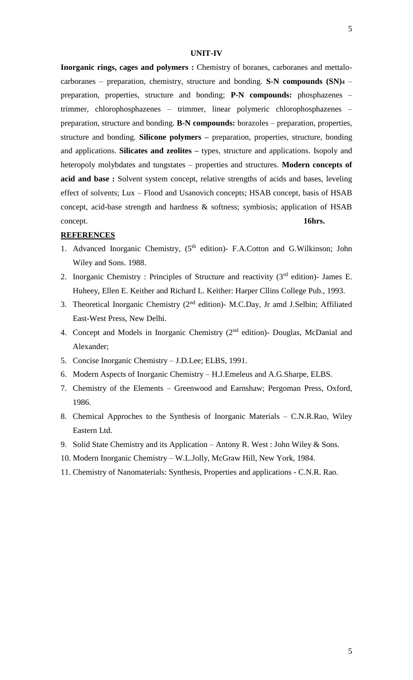# **UNIT-IV**

**Inorganic rings, cages and polymers :** Chemistry of boranes, carboranes and mettalocarboranes – preparation, chemistry, structure and bonding. **S-N compounds (SN)<sup>4</sup>** – preparation, properties, structure and bonding; **P-N compounds:** phosphazenes – trimmer, chlorophosphazenes – trimmer, linear polymeric chlorophosphazenes – preparation, structure and bonding. **B-N compounds:** borazoles – preparation, properties, structure and bonding. **Silicone polymers –** preparation, properties, structure, bonding and applications. **Silicates and zeolites –** types, structure and applications. Isopoly and heteropoly molybdates and tungstates – properties and structures. **Modern concepts of acid and base :** Solvent system concept, relative strengths of acids and bases, leveling effect of solvents; Lux – Flood and Usanovich concepts; HSAB concept, basis of HSAB concept, acid-base strength and hardness & softness; symbiosis; application of HSAB concept. **16hrs.**

- 1. Advanced Inorganic Chemistry, (5<sup>th</sup> edition)- F.A.Cotton and G.Wilkinson; John Wiley and Sons. 1988.
- 2. Inorganic Chemistry : Principles of Structure and reactivity  $(3<sup>rd</sup>$  edition)- James E. Huheey, Ellen E. Keither and Richard L. Keither: Harper Cllins College Pub., 1993.
- 3. Theoretical Inorganic Chemistry (2nd edition)- M.C.Day, Jr amd J.Selbin; Affiliated East-West Press, New Delhi.
- 4. Concept and Models in Inorganic Chemistry (2<sup>nd</sup> edition)- Douglas, McDanial and Alexander;
- 5. Concise Inorganic Chemistry J.D.Lee; ELBS, 1991.
- 6. Modern Aspects of Inorganic Chemistry H.J.Emeleus and A.G.Sharpe, ELBS.
- 7. Chemistry of the Elements Greenwood and Earnshaw; Pergoman Press, Oxford, 1986.
- 8. Chemical Approches to the Synthesis of Inorganic Materials C.N.R.Rao, Wiley Eastern Ltd.
- 9. Solid State Chemistry and its Application Antony R. West : John Wiley & Sons.
- 10. Modern Inorganic Chemistry W.L.Jolly, McGraw Hill, New York, 1984.
- 11. Chemistry of Nanomaterials: Synthesis, Properties and applications C.N.R. Rao.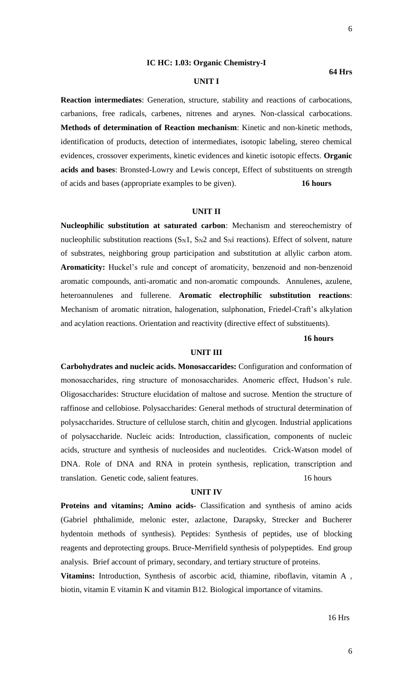**64 Hrs**

#### **IC HC: 1.03: Organic Chemistry-I**

# **UNIT I**

**Reaction intermediates**: Generation, structure, stability and reactions of carbocations, carbanions, free radicals, carbenes, nitrenes and arynes. Non-classical carbocations. **Methods of determination of Reaction mechanism**: Kinetic and non-kinetic methods, identification of products, detection of intermediates, isotopic labeling, stereo chemical evidences, crossover experiments, kinetic evidences and kinetic isotopic effects. **Organic acids and bases**: Bronsted-Lowry and Lewis concept, Effect of substituents on strength of acids and bases (appropriate examples to be given). **16 hours**

### **UNIT II**

**Nucleophilic substitution at saturated carbon**: Mechanism and stereochemistry of nucleophilic substitution reactions  $(S_N1, S_N2$  and  $S_Ni$  reactions). Effect of solvent, nature of substrates, neighboring group participation and substitution at allylic carbon atom. **Aromaticity:** Huckel's rule and concept of aromaticity, benzenoid and non-benzenoid aromatic compounds, anti-aromatic and non-aromatic compounds. Annulenes, azulene, heteroannulenes and fullerene. **Aromatic electrophilic substitution reactions**: Mechanism of aromatic nitration, halogenation, sulphonation, Friedel-Craft's alkylation and acylation reactions. Orientation and reactivity (directive effect of substituents).

#### **16 hours**

#### **UNIT III**

**Carbohydrates and nucleic acids. Monosaccarides:** Configuration and conformation of monosaccharides, ring structure of monosaccharides. Anomeric effect, Hudson's rule. Oligosaccharides: Structure elucidation of maltose and sucrose. Mention the structure of raffinose and cellobiose. Polysaccharides: General methods of structural determination of polysaccharides. Structure of cellulose starch, chitin and glycogen. Industrial applications of polysaccharide. Nucleic acids: Introduction, classification, components of nucleic acids, structure and synthesis of nucleosides and nucleotides. Crick-Watson model of DNA. Role of DNA and RNA in protein synthesis, replication, transcription and translation. Genetic code, salient features. 16 hours

#### **UNIT IV**

**Proteins and vitamins; Amino acids-** Classification and synthesis of amino acids (Gabriel phthalimide, melonic ester, azlactone, Darapsky, Strecker and Bucherer hydentoin methods of synthesis). Peptides: Synthesis of peptides, use of blocking reagents and deprotecting groups. Bruce-Merrifield synthesis of polypeptides. End group analysis. Brief account of primary, secondary, and tertiary structure of proteins.

**Vitamins:** Introduction, Synthesis of ascorbic acid, thiamine, riboflavin, vitamin A , biotin, vitamin E vitamin K and vitamin B12. Biological importance of vitamins.

# 16 Hrs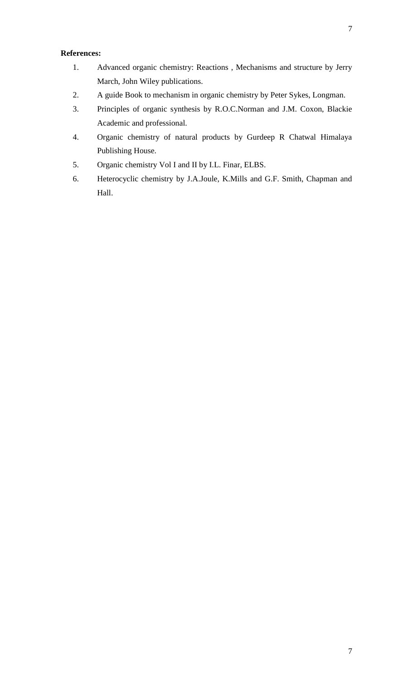# **References:**

- 1. Advanced organic chemistry: Reactions , Mechanisms and structure by Jerry March, John Wiley publications.
- 2. A guide Book to mechanism in organic chemistry by Peter Sykes, Longman.
- 3. Principles of organic synthesis by R.O.C.Norman and J.M. Coxon, Blackie Academic and professional.
- 4. Organic chemistry of natural products by Gurdeep R Chatwal Himalaya Publishing House.
- 5. Organic chemistry Vol I and II by I.L. Finar, ELBS.
- 6. Heterocyclic chemistry by J.A.Joule, K.Mills and G.F. Smith, Chapman and Hall.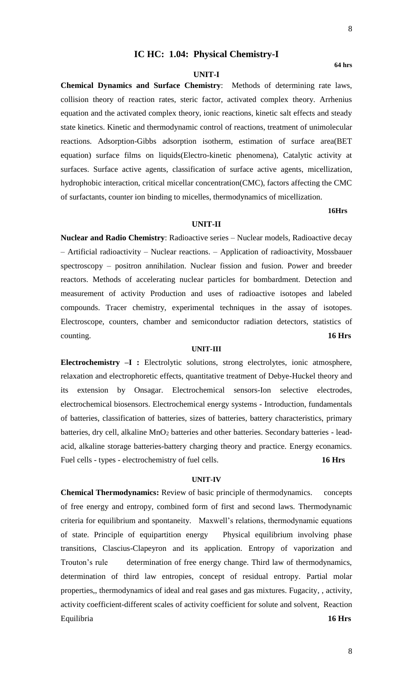# **IC HC: 1.04: Physical Chemistry-I**

#### **UNIT-I**

**Chemical Dynamics and Surface Chemistry**: Methods of determining rate laws, collision theory of reaction rates, steric factor, activated complex theory. Arrhenius equation and the activated complex theory, ionic reactions, kinetic salt effects and steady state kinetics. Kinetic and thermodynamic control of reactions, treatment of unimolecular reactions. Adsorption-Gibbs adsorption isotherm, estimation of surface area(BET equation) surface films on liquids(Electro-kinetic phenomena), Catalytic activity at surfaces. Surface active agents, classification of surface active agents, micellization, hydrophobic interaction, critical micellar concentration(CMC), factors affecting the CMC of surfactants, counter ion binding to micelles, thermodynamics of micellization.

# **16Hrs**

#### **UNIT-II**

**Nuclear and Radio Chemistry**: Radioactive series – Nuclear models, Radioactive decay – Artificial radioactivity – Nuclear reactions. – Application of radioactivity, Mossbauer spectroscopy – positron annihilation. Nuclear fission and fusion. Power and breeder reactors. Methods of accelerating nuclear particles for bombardment. Detection and measurement of activity Production and uses of radioactive isotopes and labeled compounds. Tracer chemistry, experimental techniques in the assay of isotopes. Electroscope, counters, chamber and semiconductor radiation detectors, statistics of counting. **16 Hrs**

#### **UNIT-III**

**Electrochemistry –I :** Electrolytic solutions, strong electrolytes, ionic atmosphere, relaxation and electrophoretic effects, quantitative treatment of Debye-Huckel theory and its extension by Onsagar. Electrochemical sensors-Ion selective electrodes, electrochemical biosensors. Electrochemical energy systems - Introduction, fundamentals of batteries, classification of batteries, sizes of batteries, battery characteristics, primary batteries, dry cell, alkaline MnO<sub>2</sub> batteries and other batteries. Secondary batteries - leadacid, alkaline storage batteries-battery charging theory and practice. Energy econamics. Fuel cells - types - electrochemistry of fuel cells. **16 Hrs**

#### **UNIT-IV**

**Chemical Thermodynamics:** Review of basic principle of thermodynamics. concepts of free energy and entropy, combined form of first and second laws. Thermodynamic criteria for equilibrium and spontaneity. Maxwell's relations, thermodynamic equations of state. Principle of equipartition energy Physical equilibrium involving phase transitions, Clascius-Clapeyron and its application. Entropy of vaporization and Trouton's rule determination of free energy change. Third law of thermodynamics, determination of third law entropies, concept of residual entropy. Partial molar properties,, thermodynamics of ideal and real gases and gas mixtures. Fugacity, , activity, activity coefficient-different scales of activity coefficient for solute and solvent, Reaction Equilibria **16 Hrs**

**64 hrs**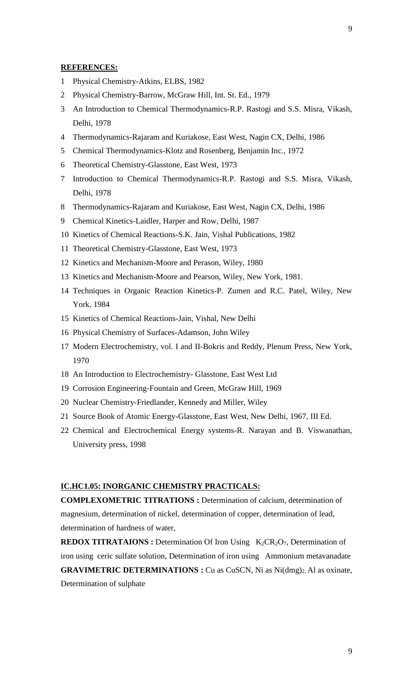- Physical Chemistry-Atkins, ELBS, 1982
- Physical Chemistry-Barrow, McGraw Hill, Int. St. Ed., 1979
- An Introduction to Chemical Thermodynamics-R.P. Rastogi and S.S. Misra, Vikash, Delhi, 1978
- Thermodynamics-Rajaram and Kuriakose, East West, Nagin CX, Delhi, 1986
- Chemical Thermodynamics-Klotz and Rosenberg, Benjamin Inc., 1972
- Theoretical Chemistry-Glasstone, East West, 1973
- Introduction to Chemical Thermodynamics-R.P. Rastogi and S.S. Misra, Vikash, Delhi, 1978
- Thermodynamics-Rajaram and Kuriakose, East West, Nagin CX, Delhi, 1986
- Chemical Kinetics-Laidler, Harper and Row, Delhi, 1987
- Kinetics of Chemical Reactions-S.K. Jain, Vishal Publications, 1982
- Theoretical Chemistry-Glasstone, East West, 1973
- Kinetics and Mechanism-Moore and Perason, Wiley, 1980
- Kinetics and Mechanism-Moore and Pearson, Wiley, New York, 1981.
- Techniques in Organic Reaction Kinetics-P. Zumen and R.C. Patel, Wiley, New York, 1984
- Kinetics of Chemical Reactions-Jain, Vishal, New Delhi
- Physical Chemistry of Surfaces-Adamson, John Wiley
- Modern Electrochemistry, vol. I and II-Bokris and Reddy, Plenum Press, New York,
- An Introduction to Electrochemistry- Glasstone, East West Ltd
- Corrosion Engineering-Fountain and Green, McGraw Hill, 1969
- Nuclear Chemistry-Friedlander, Kennedy and Miller, Wiley
- Source Book of Atomic Energy-Glasstone, East West, New Delhi, 1967, III Ed.
- Chemical and Electrochemical Energy systems-R. Narayan and B. Viswanathan, University press, 1998

# **IC.HC1.05: INORGANIC CHEMISTRY PRACTICALS:**

**COMPLEXOMETRIC TITRATIONS :** Determination of calcium, determination of magnesium, determination of nickel, determination of copper, determination of lead, determination of hardness of water,

**REDOX TITRATAIONS** : Determination Of Iron Using K<sub>2</sub>CR<sub>2</sub>O<sub>7</sub>, Determination of iron using ceric sulfate solution, Determination of iron using Ammonium metavanadate **GRAVIMETRIC DETERMINATIONS :** Cu as CuSCN, Ni as Ni(dmg)<sub>2</sub>, Al as oxinate, Determination of sulphate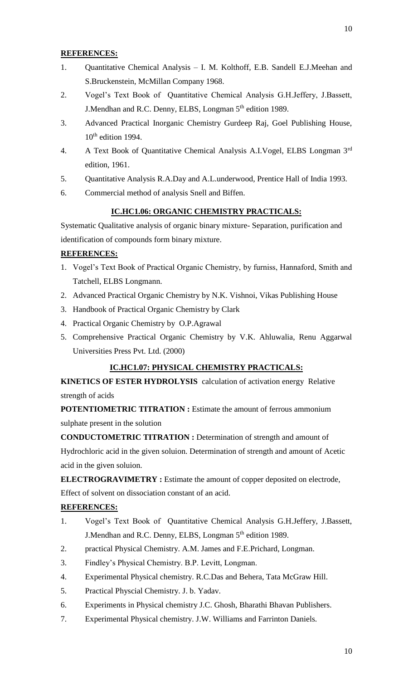- 1. Quantitative Chemical Analysis I. M. Kolthoff, E.B. Sandell E.J.Meehan and S.Bruckenstein, McMillan Company 1968.
- 2. Vogel's Text Book of Quantitative Chemical Analysis G.H.Jeffery, J.Bassett, J.Mendhan and R.C. Denny, ELBS, Longman 5th edition 1989.
- 3. Advanced Practical Inorganic Chemistry Gurdeep Raj, Goel Publishing House,  $10^{th}$  edition 1994.
- 4. A Text Book of Quantitative Chemical Analysis A.I.Vogel, ELBS Longman 3rd edition, 1961.
- 5. Quantitative Analysis R.A.Day and A.L.underwood, Prentice Hall of India 1993.
- 6. Commercial method of analysis Snell and Biffen.

# **IC.HC1.06: ORGANIC CHEMISTRY PRACTICALS:**

Systematic Qualitative analysis of organic binary mixture- Separation, purification and identification of compounds form binary mixture.

# **REFERENCES:**

- 1. Vogel's Text Book of Practical Organic Chemistry, by furniss, Hannaford, Smith and Tatchell, ELBS Longmann.
- 2. Advanced Practical Organic Chemistry by N.K. Vishnoi, Vikas Publishing House
- 3. Handbook of Practical Organic Chemistry by Clark
- 4. Practical Organic Chemistry by O.P.Agrawal
- 5. Comprehensive Practical Organic Chemistry by V.K. Ahluwalia, Renu Aggarwal Universities Press Pvt. Ltd. (2000)

# **IC.HC1.07: PHYSICAL CHEMISTRY PRACTICALS:**

**KINETICS OF ESTER HYDROLYSIS** calculation of activation energyRelative strength of acids

**POTENTIOMETRIC TITRATION :** Estimate the amount of ferrous ammonium sulphate present in the solution

**CONDUCTOMETRIC TITRATION :** Determination of strength and amount of Hydrochloric acid in the given soluion. Determination of strength and amount of Acetic acid in the given soluion.

**ELECTROGRAVIMETRY :** Estimate the amount of copper deposited on electrode, Effect of solvent on dissociation constant of an acid.

- 1. Vogel's Text Book of Quantitative Chemical Analysis G.H.Jeffery, J.Bassett, J.Mendhan and R.C. Denny, ELBS, Longman 5<sup>th</sup> edition 1989.
- 2. practical Physical Chemistry. A.M. James and F.E.Prichard, Longman.
- 3. Findley's Physical Chemistry. B.P. Levitt, Longman.
- 4. Experimental Physical chemistry. R.C.Das and Behera, Tata McGraw Hill.
- 5. Practical Physcial Chemistry. J. b. Yadav.
- 6. Experiments in Physical chemistry J.C. Ghosh, Bharathi Bhavan Publishers.
- 7. Experimental Physical chemistry. J.W. Williams and Farrinton Daniels.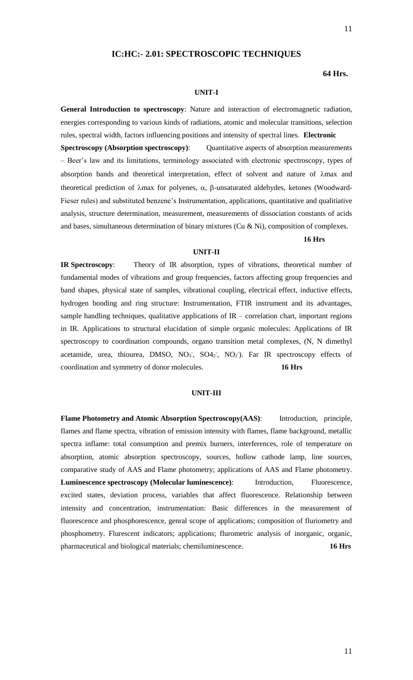# **IC:HC:- 2.01: SPECTROSCOPIC TECHNIQUES**

#### **64 Hrs.**

#### **UNIT-I**

**General Introduction to spectroscopy**: Nature and interaction of electromagnetic radiation, energies corresponding to various kinds of radiations, atomic and molecular transitions, selection rules, spectral width, factors influencing positions and intensity of spectral lines. **Electronic Spectroscopy (Absorption spectroscopy)**: Quantitative aspects of absorption measurements – Beer's law and its limitations, terminology associated with electronic spectroscopy, types of absorption bands and theoretical interpretation, effect of solvent and nature of  $\lambda$ max and theoretical prediction of  $\lambda$ max for polyenes,  $\alpha$ ,  $\beta$ -unsaturated aldehydes, ketones (Woodward-Fieser rules) and substituted benzene's Instrumentation, applications, quantitative and qualitiative analysis, structure determination, measurement, measurements of dissociation constants of acids and bases, simultaneous determination of binary mixtures (Cu & Ni), composition of complexes.

#### **16 Hrs**

#### **UNIT-II**

**IR Spectroscopy**: Theory of IR absorption, types of vibrations, theoretical number of fundamental modes of vibrations and group frequencies, factors affecting group frequencies and band shapes, physical state of samples, vibrational coupling, electrical effect, inductive effects, hydrogen bonding and ring structure: Instrumentation, FTIR instrument and its advantages, sample handling techniques, qualitative applications of  $IR$  – correlation chart, important regions in IR. Applications to structural elucidation of simple organic molecules: Applications of IR spectroscopy to coordination compounds, organo transition metal complexes, (N, N dimethyl acetamide, urea, thiourea, DMSO,  $NO<sub>3</sub>$ ,  $SO<sub>42</sub>$ ,  $NO<sub>2</sub>$ ). Far IR spectroscopy effects of coordination and symmetry of donor molecules. **16 Hrs**

#### **UNIT-III**

**Flame Photometry and Atomic Absorption Spectroscopy(AAS)**: Introduction, principle, flames and flame spectra, vibration of emission intensity with flames, flame background, metallic spectra inflame: total consumption and premix burners, interferences, role of temperature on absorption, atomic absorption spectroscopy, sources, hollow cathode lamp, line sources, comparative study of AAS and Flame photometry; applications of AAS and Flame photometry. **Luminescence spectroscopy (Molecular luminescence)**: Introduction, Fluorescence, excited states, deviation process, variables that affect fluorescence. Relationship between intensity and concentration, instrumentation: Basic differences in the measurement of fluorescence and phosphorescence, genral scope of applications; composition of fluriometry and phosphometry. Flurescent indicators; applications; flurometric analysis of inorganic, organic, pharmaceutical and biological materials; chemiluminescence. **16 Hrs**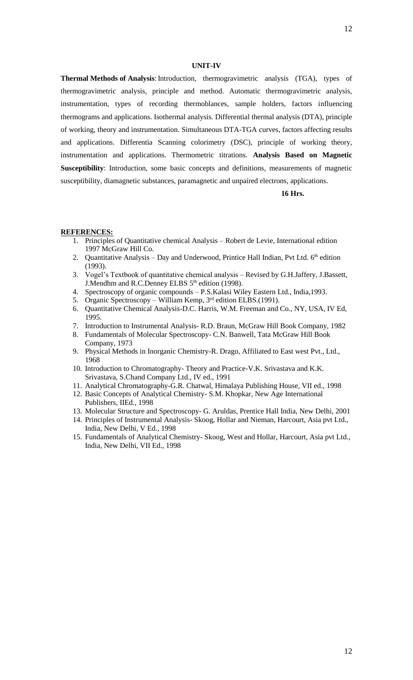#### **UNIT-IV**

**Thermal Methods of Analysis**: Introduction, thermogravimetric analysis (TGA), types of thermogravimetric analysis, principle and method. Automatic thermogravimetric analysis, instrumentation, types of recording thermoblances, sample holders, factors influencing thermograms and applications. Isothermal analysis. Differential thermal analysis (DTA), principle of working, theory and instrumentation. Simultaneous DTA-TGA curves, factors affecting results and applications. Differentia Scanning colorimetry (DSC), principle of working theory, instrumentation and applications. Thermometric titrations. **Analysis Based on Magnetic Susceptibility**: Introduction, some basic concepts and definitions, measurements of magnetic susceptibility, diamagnetic substances, paramagnetic and unpaired electrons, applications.

 **16 Hrs.**

- 1. Principles of Quantitative chemical Analysis Robert de Levie, International edition 1997 McGraw Hill Co.
- 2. Quantitative Analysis Day and Underwood, Printice Hall Indian, Pvt Ltd.  $6<sup>th</sup>$  edition (1993).
- 3. Vogel's Textbook of quantitative chemical analysis Revised by G.H.Jaffery, J.Bassett, J.Mendhm and R.C.Denney ELBS 5<sup>th</sup> edition (1998).
- 4. Spectroscopy of organic compounds P.S.Kalasi Wiley Eastern Ltd., India,1993.
- 5. Organic Spectroscopy William Kemp, 3<sup>rd</sup> edition ELBS.(1991).
- 6. Quantitative Chemical Analysis-D.C. Harris, W.M. Freeman and Co., NY, USA, IV Ed, 1995.
- 7. Introduction to Instrumental Analysis- R.D. Braun, McGraw Hill Book Company, 1982
- 8. Fundamentals of Molecular Spectroscopy- C.N. Banwell, Tata McGraw Hill Book Company, 1973
- 9. Physical Methods in Inorganic Chemistry-R. Drago, Affiliated to East west Pvt., Ltd., 1968
- 10. Introduction to Chromatography- Theory and Practice-V.K. Srivastava and K.K. Srivastava, S.Chand Company Ltd., IV ed., 1991
- 11. Analytical Chromatography-G.R. Chatwal, Himalaya Publishing House, VII ed., 1998
- 12. Basic Concepts of Analytical Chemistry- S.M. Khopkar, New Age International Publishers, IIEd., 1998
- 13. Molecular Structure and Spectroscopy- G. Aruldas, Prentice Hall India, New Delhi, 2001
- 14. Principles of Instrumental Analysis- Skoog, Hollar and Nieman, Harcourt, Asia pvt Ltd., India, New Delhi, V Ed., 1998
- 15. Fundamentals of Analytical Chemistry- Skoog, West and Hollar, Harcourt, Asia pvt Ltd., India, New Delhi, VII Ed., 1998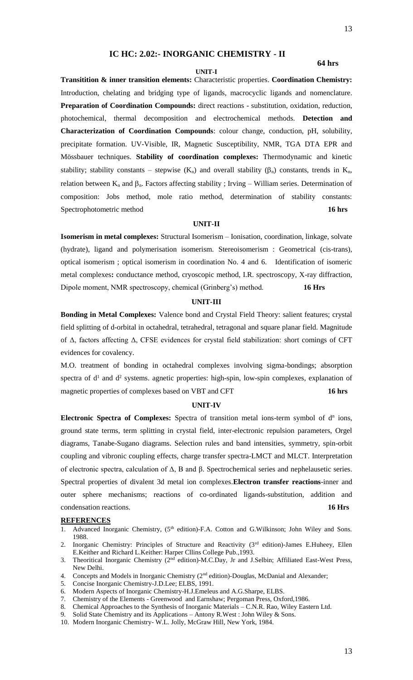# **IC HC: 2.02:- INORGANIC CHEMISTRY - II**

#### **64 hrs**

#### **UNIT-I**

**Transitition & inner transition elements:** Characteristic properties. **Coordination Chemistry:** Introduction, chelating and bridging type of ligands, macrocyclic ligands and nomenclature. **Preparation of Coordination Compounds:** direct reactions - substitution, oxidation, reduction, photochemical, thermal decomposition and electrochemical methods. **Detection and Characterization of Coordination Compounds**: colour change, conduction, pH, solubility, precipitate formation. UV-Visible, IR, Magnetic Susceptibility, NMR, TGA DTA EPR and Mössbauer techniques. **Stability of coordination complexes:** Thermodynamic and kinetic stability; stability constants – stepwise  $(K_n)$  and overall stability  $(\beta_n)$  constants, trends in  $K_n$ , relation between  $K_n$  and  $\beta_n$ . Factors affecting stability ; Irving – William series. Determination of composition: Jobs method, mole ratio method, determination of stability constants: Spectrophotometric method **16 hrs**

#### **UNIT-II**

**Isomerism in metal complexes:** Structural Isomerism – Ionisation, coordination, linkage, solvate (hydrate), ligand and polymerisation isomerism. Stereoisomerism : Geometrical (cis-trans), optical isomerism ; optical isomerism in coordination No. 4 and 6. Identification of isomeric metal complexes**:** conductance method, cryoscopic method, I.R. spectroscopy, X-ray diffraction, Dipole moment, NMR spectroscopy, chemical (Grinberg's) method. **16 Hrs**

#### **UNIT-III**

**Bonding in Metal Complexes:** Valence bond and Crystal Field Theory: salient features; crystal field splitting of d-orbital in octahedral, tetrahedral, tetragonal and square planar field. Magnitude of Δ, factors affecting Δ, CFSE evidences for crystal field stabilization: short comings of CFT evidences for covalency.

M.O. treatment of bonding in octahedral complexes involving sigma-bondings; absorption spectra of  $d<sup>1</sup>$  and  $d<sup>2</sup>$  systems. agnetic properties: high-spin, low-spin complexes, explanation of magnetic properties of complexes based on VBT and CFT **16 hrs**

#### **UNIT-IV**

Electronic Spectra of Complexes: Spectra of transition metal ions-term symbol of d<sup>n</sup> ions, ground state terms, term splitting in crystal field, inter-electronic repulsion parameters, Orgel diagrams, Tanabe-Sugano diagrams. Selection rules and band intensities, symmetry, spin-orbit coupling and vibronic coupling effects, charge transfer spectra-LMCT and MLCT. Interpretation of electronic spectra, calculation of Δ, B and β. Spectrochemical series and nephelausetic series. Spectral properties of divalent 3d metal ion complexes.**Electron transfer reactions**-inner and outer sphere mechanisms; reactions of co-ordinated ligands-substitution, addition and condensation reactions. **16 Hrs**

- 1. Advanced Inorganic Chemistry, (5<sup>th</sup> edition)-F.A. Cotton and G.Wilkinson; John Wiley and Sons. 1988.
- 2. Inorganic Chemistry: Principles of Structure and Reactivity (3rd edition)-James E.Huheey, Ellen E.Keither and Richard L.Keither: Harper Cllins College Pub.,1993.
- 3. Theoritical Inorganic Chemistry (2<sup>nd</sup> edition)-M.C.Day, Jr and J.Selbin; Affiliated East-West Press, New Delhi.
- 4. Concepts and Models in Inorganic Chemistry  $(2<sup>nd</sup>$  edition)-Douglas, McDanial and Alexander;
- 5. Concise Inorganic Chemistry-J.D.Lee; ELBS, 1991.
- 6. Modern Aspects of Inorganic Chemistry-H.J.Emeleus and A.G.Sharpe, ELBS.
- 7. Chemistry of the Elements Greenwood and Earnshaw; Pergoman Press, Oxford,1986.
- 8. Chemical Approaches to the Synthesis of Inorganic Materials C.N.R. Rao, Wiley Eastern Ltd.
- 9. Solid State Chemistry and its Applications Antony R.West : John Wiley & Sons.
- 10. Modern Inorganic Chemistry- W.L. Jolly, McGraw Hill, New York, 1984.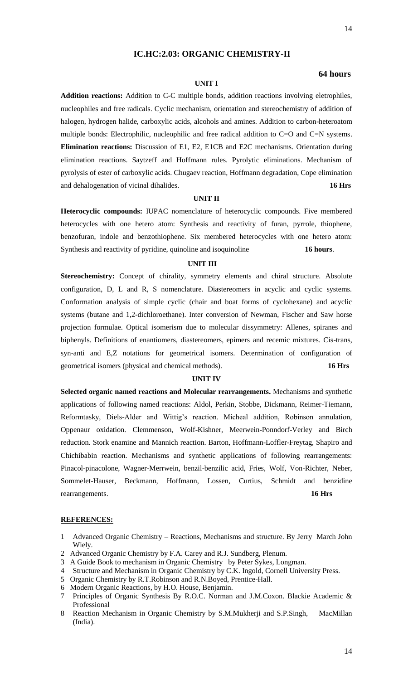# **IC.HC:2.03: ORGANIC CHEMISTRY-II**

#### **64 hours**

# **UNIT I**

**Addition reactions:** Addition to C-C multiple bonds, addition reactions involving eletrophiles, nucleophiles and free radicals. Cyclic mechanism, orientation and stereochemistry of addition of halogen, hydrogen halide, carboxylic acids, alcohols and amines. Addition to carbon-heteroatom multiple bonds: Electrophilic, nucleophilic and free radical addition to C=O and C=N systems. **Elimination reactions:** Discussion of E1, E2, E1CB and E2C mechanisms. Orientation during elimination reactions. Saytzeff and Hoffmann rules. Pyrolytic eliminations. Mechanism of pyrolysis of ester of carboxylic acids. Chugaev reaction, Hoffmann degradation, Cope elimination and dehalogenation of vicinal dihalides. **16 Hrs**

# **UNIT II**

**Heterocyclic compounds:** IUPAC nomenclature of heterocyclic compounds. Five membered heterocycles with one hetero atom: Synthesis and reactivity of furan, pyrrole, thiophene, benzofuran, indole and benzothiophene. Six membered heterocycles with one hetero atom: Synthesis and reactivity of pyridine, quinoline and isoquinoline **16 hours**.

#### **UNIT III**

Stereochemistry: Concept of chirality, symmetry elements and chiral structure. Absolute configuration, D, L and R, S nomenclature. Diastereomers in acyclic and cyclic systems. Conformation analysis of simple cyclic (chair and boat forms of cyclohexane) and acyclic systems (butane and 1,2-dichloroethane). Inter conversion of Newman, Fischer and Saw horse projection formulae. Optical isomerism due to molecular dissymmetry: Allenes, spiranes and biphenyls. Definitions of enantiomers, diastereomers, epimers and recemic mixtures. Cis-trans, syn-anti and E,Z notations for geometrical isomers. Determination of configuration of geometrical isomers (physical and chemical methods). **16 Hrs**

#### **UNIT IV**

**Selected organic named reactions and Molecular rearrangements.** Mechanisms and synthetic applications of following named reactions: Aldol, Perkin, Stobbe, Dickmann, Reimer-Tiemann, Reformtasky, Diels-Alder and Wittig's reaction. Micheal addition, Robinson annulation, Oppenaur oxidation. Clemmenson, Wolf-Kishner, Meerwein-Ponndorf-Verley and Birch reduction. Stork enamine and Mannich reaction. Barton, Hoffmann-Loffler-Freytag, Shapiro and Chichibabin reaction. Mechanisms and synthetic applications of following rearrangements: Pinacol-pinacolone, Wagner-Merrwein, benzil-benzilic acid, Fries, Wolf, Von-Richter, Neber, Sommelet-Hauser, Beckmann, Hoffmann, Lossen, Curtius, Schmidt and benzidine rearrangements. **16 Hrs**

- 1 Advanced Organic Chemistry Reactions, Mechanisms and structure. By Jerry March John Wiely.
- 2 Advanced Organic Chemistry by F.A. Carey and R.J. Sundberg, Plenum.
- 3 A Guide Book to mechanism in Organic Chemistry by Peter Sykes, Longman.
- 4 Structure and Mechanism in Organic Chemistry by C.K. Ingold, Cornell University Press.
- 5 Organic Chemistry by R.T.Robinson and R.N.Boyed, Prentice-Hall.
- 6 Modern Organic Reactions, by H.O. House, Benjamin.
- 7 Principles of Organic Synthesis By R.O.C. Norman and J.M.Coxon. Blackie Academic & Professional
- 8 Reaction Mechanism in Organic Chemistry by S.M.Mukherji and S.P.Singh, MacMillan (India).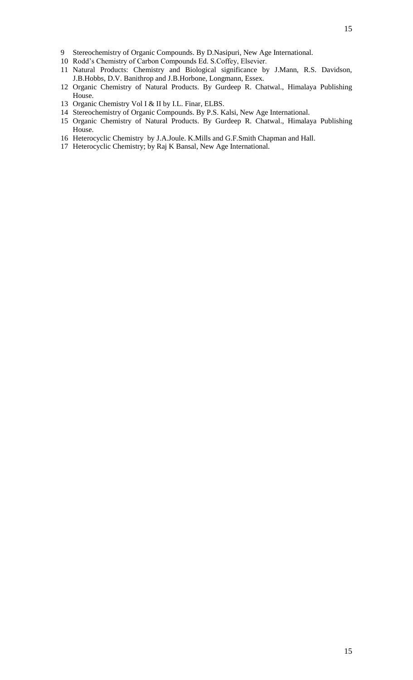- Stereochemistry of Organic Compounds. By D.Nasipuri, New Age International.
- Rodd's Chemistry of Carbon Compounds Ed. S.Coffey, Elsevier.
- Natural Products: Chemistry and Biological significance by J.Mann, R.S. Davidson, J.B.Hobbs, D.V. Banithrop and J.B.Horbone, Longmann, Essex.
- Organic Chemistry of Natural Products. By Gurdeep R. Chatwal., Himalaya Publishing House.
- Organic Chemistry Vol I & II by I.L. Finar, ELBS.
- Stereochemistry of Organic Compounds. By P.S. Kalsi, New Age International.
- Organic Chemistry of Natural Products. By Gurdeep R. Chatwal., Himalaya Publishing House.
- Heterocyclic Chemistry by J.A.Joule. K.Mills and G.F.Smith Chapman and Hall.
- Heterocyclic Chemistry; by Raj K Bansal, New Age International.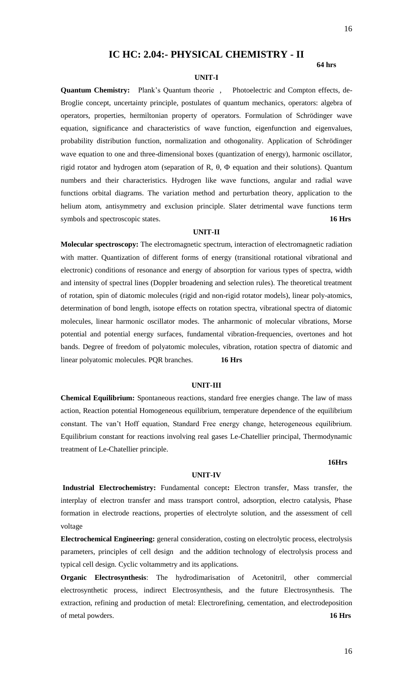# **IC HC: 2.04:- PHYSICAL CHEMISTRY - II**

### **UNIT-I**

**64 hrs**

**Quantum Chemistry:** Plank's Quantum theorie , Photoelectric and Compton effects, de-Broglie concept, uncertainty principle, postulates of quantum mechanics, operators: algebra of operators, properties, hermiltonian property of operators. Formulation of Schrödinger wave equation, significance and characteristics of wave function, eigenfunction and eigenvalues, probability distribution function, normalization and othogonality. Application of Schrödinger wave equation to one and three-dimensional boxes (quantization of energy), harmonic oscillator, rigid rotator and hydrogen atom (separation of R,  $\theta$ ,  $\Phi$  equation and their solutions). Quantum numbers and their characteristics. Hydrogen like wave functions, angular and radial wave functions orbital diagrams. The variation method and perturbation theory, application to the helium atom, antisymmetry and exclusion principle. Slater detrimental wave functions term symbols and spectroscopic states. **16 Hrs**

#### **UNIT-II**

**Molecular spectroscopy:** The electromagnetic spectrum, interaction of electromagnetic radiation with matter. Quantization of different forms of energy (transitional rotational vibrational and electronic) conditions of resonance and energy of absorption for various types of spectra, width and intensity of spectral lines (Doppler broadening and selection rules). The theoretical treatment of rotation, spin of diatomic molecules (rigid and non-rigid rotator models), linear poly-atomics, determination of bond length, isotope effects on rotation spectra, vibrational spectra of diatomic molecules, linear harmonic oscillator modes. The anharmonic of molecular vibrations, Morse potential and potential energy surfaces, fundamental vibration-frequencies, overtones and hot bands. Degree of freedom of polyatomic molecules, vibration, rotation spectra of diatomic and linear polyatomic molecules. PQR branches. **16 Hrs**

#### **UNIT-III**

**Chemical Equilibrium:** Spontaneous reactions, standard free energies change. The law of mass action, Reaction potential Homogeneous equilibrium, temperature dependence of the equilibrium constant. The van't Hoff equation, Standard Free energy change, heterogeneous equilibrium. Equilibrium constant for reactions involving real gases Le-Chatellier principal, Thermodynamic treatment of Le-Chatellier principle.

#### **16Hrs**

#### **UNIT-IV**

**Industrial Electrochemistry:** Fundamental concept**:** Electron transfer, Mass transfer, the interplay of electron transfer and mass transport control, adsorption, electro catalysis, Phase formation in electrode reactions, properties of electrolyte solution, and the assessment of cell voltage

**Electrochemical Engineering:** general consideration, costing on electrolytic process, electrolysis parameters, principles of cell design and the addition technology of electrolysis process and typical cell design. Cyclic voltammetry and its applications.

**Organic Electrosynthesis**: The hydrodimarisation of Acetonitril, other commercial electrosynthetic process, indirect Electrosynthesis, and the future Electrosynthesis. The extraction, refining and production of metal: Electrorefining, cementation, and electrodeposition of metal powders. **16 Hrs**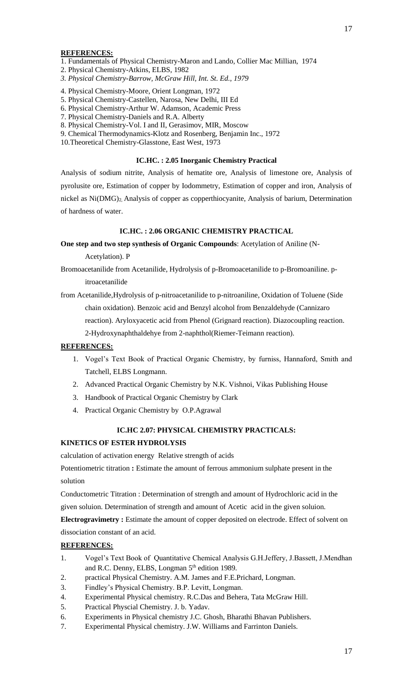- 1. Fundamentals of Physical Chemistry-Maron and Lando, Collier Mac Millian, 1974
- 2. Physical Chemistry-Atkins, ELBS, 1982
- *3. Physical Chemistry-Barrow, McGraw Hill, Int. St. Ed., 1979*
- 4. Physical Chemistry-Moore, Orient Longman, 1972
- 5. Physical Chemistry-Castellen, Narosa, New Delhi, III Ed
- 6. Physical Chemistry-Arthur W. Adamson, Academic Press
- 7. Physical Chemistry-Daniels and R.A. Alberty
- 8. Physical Chemistry-Vol. I and II, Gerasimov, MIR, Moscow
- 9. Chemical Thermodynamics-Klotz and Rosenberg, Benjamin Inc., 1972
- 10.Theoretical Chemistry-Glasstone, East West, 1973

#### **IC.HC. : 2.05 Inorganic Chemistry Practical**

Analysis of sodium nitrite, Analysis of hematite ore, Analysis of limestone ore, Analysis of pyrolusite ore, Estimation of copper by Iodommetry, Estimation of copper and iron, Analysis of nickel as Ni(DMG)2, Analysis of copper as copperthiocyanite, Analysis of barium, Determination of hardness of water.

#### **IC.HC. : 2.06 ORGANIC CHEMISTRY PRACTICAL**

**One step and two step synthesis of Organic Compounds**: Acetylation of Aniline (N-

Acetylation). P

- Bromoacetanilide from Acetanilide, Hydrolysis of p-Bromoacetanilide to p-Bromoaniline. pitroacetanilide
- from Acetanilide,Hydrolysis of p-nitroacetanilide to p-nitroaniline, Oxidation of Toluene (Side chain oxidation). Benzoic acid and Benzyl alcohol from Benzaldehyde (Cannizaro reaction). Aryloxyacetic acid from Phenol (Grignard reaction). Diazocoupling reaction. 2-Hydroxynaphthaldehye from 2-naphthol(Riemer-Teimann reaction).

#### **REFERENCES:**

- 1. Vogel's Text Book of Practical Organic Chemistry, by furniss, Hannaford, Smith and Tatchell, ELBS Longmann.
- 2. Advanced Practical Organic Chemistry by N.K. Vishnoi, Vikas Publishing House
- 3. Handbook of Practical Organic Chemistry by Clark
- 4. Practical Organic Chemistry by O.P.Agrawal

#### **IC.HC 2.07: PHYSICAL CHEMISTRY PRACTICALS:**

#### **KINETICS OF ESTER HYDROLYSIS**

calculation of activation energyRelative strength of acids

Potentiometric titration **:** Estimate the amount of ferrous ammonium sulphate present in the solution

Conductometric Titration : Determination of strength and amount of Hydrochloric acid in the given soluion. Determination of strength and amount of Acetic acid in the given soluion.

**Electrogravimetry :** Estimate the amount of copper deposited on electrode. Effect of solvent on dissociation constant of an acid.

- 1. Vogel's Text Book of Quantitative Chemical Analysis G.H.Jeffery, J.Bassett, J.Mendhan and R.C. Denny, ELBS, Longman 5<sup>th</sup> edition 1989.
- 2. practical Physical Chemistry. A.M. James and F.E.Prichard, Longman.
- 3. Findley's Physical Chemistry. B.P. Levitt, Longman.
- 4. Experimental Physical chemistry. R.C.Das and Behera, Tata McGraw Hill.
- 5. Practical Physcial Chemistry. J. b. Yadav.
- 6. Experiments in Physical chemistry J.C. Ghosh, Bharathi Bhavan Publishers.
- 7. Experimental Physical chemistry. J.W. Williams and Farrinton Daniels.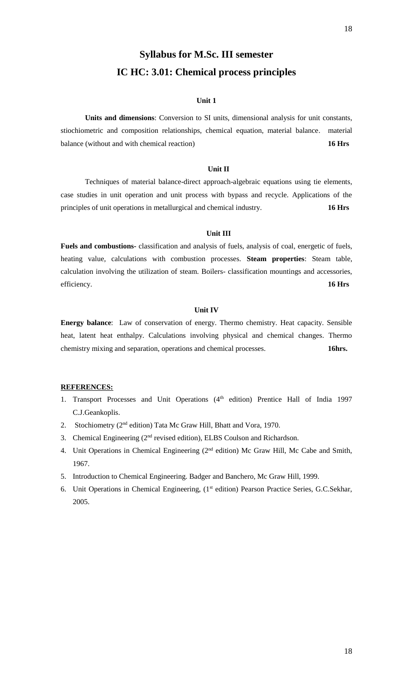# **Syllabus for M.Sc. III semester IC HC: 3.01: Chemical process principles**

# **Unit 1**

**Units and dimensions**: Conversion to SI units, dimensional analysis for unit constants, stiochiometric and composition relationships, chemical equation, material balance. material balance (without and with chemical reaction) **16 Hrs**

#### **Unit II**

Techniques of material balance-direct approach-algebraic equations using tie elements, case studies in unit operation and unit process with bypass and recycle. Applications of the principles of unit operations in metallurgical and chemical industry. **16 Hrs**

### **Unit III**

**Fuels and combustions-** classification and analysis of fuels, analysis of coal, energetic of fuels, heating value, calculations with combustion processes. **Steam properties**: Steam table, calculation involving the utilization of steam. Boilers- classification mountings and accessories, efficiency. **16 Hrs**

#### **Unit IV**

**Energy balance**: Law of conservation of energy. Thermo chemistry. Heat capacity. Sensible heat, latent heat enthalpy. Calculations involving physical and chemical changes. Thermo chemistry mixing and separation, operations and chemical processes. **16hrs.**

- 1. Transport Processes and Unit Operations (4<sup>th</sup> edition) Prentice Hall of India 1997 C.J.Geankoplis.
- 2. Stochiometry (2<sup>nd</sup> edition) Tata Mc Graw Hill, Bhatt and Vora, 1970.
- 3. Chemical Engineering (2<sup>nd</sup> revised edition), ELBS Coulson and Richardson.
- 4. Unit Operations in Chemical Engineering (2<sup>nd</sup> edition) Mc Graw Hill, Mc Cabe and Smith, 1967.
- 5. Introduction to Chemical Engineering. Badger and Banchero, Mc Graw Hill, 1999.
- 6. Unit Operations in Chemical Engineering, (1<sup>st</sup> edition) Pearson Practice Series, G.C.Sekhar, 2005.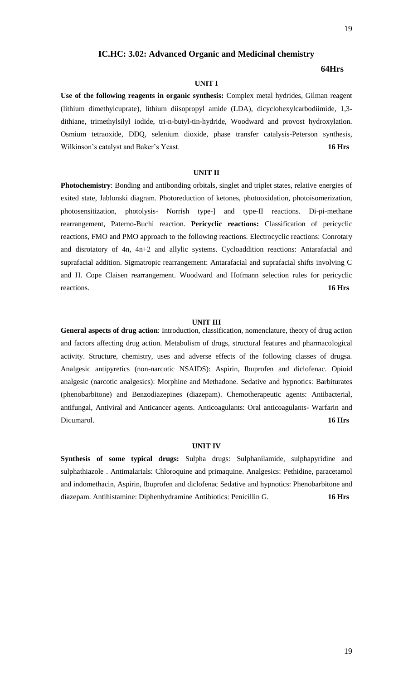# **IC.HC: 3.02: Advanced Organic and Medicinal chemistry**

### **64Hrs**

# **UNIT I**

**Use of the following reagents in organic synthesis:** Complex metal hydrides, Gilman reagent (lithium dimethylcuprate), lithium diisopropyl amide (LDA), dicyclohexylcarbodiimide, 1,3 dithiane, trimethylsilyl iodide, tri-n-butyl-tin-hydride, Woodward and provost hydroxylation. Osmium tetraoxide, DDQ, selenium dioxide, phase transfer catalysis-Peterson synthesis, Wilkinson's catalyst and Baker's Yeast. **16 Hrs**

# **UNIT II**

**Photochemistry**: Bonding and antibonding orbitals, singlet and triplet states, relative energies of exited state, Jablonski diagram. Photoreduction of ketones, photooxidation, photoisomerization, photosensitization, photolysis- Norrish type-] and type-II reactions. Di-pi-methane rearrangement, Paterno-Buchi reaction. **Pericyclic reactions:** Classification of pericyclic reactions, FMO and PMO approach to the following reactions. Electrocyclic reactions: Conrotary and disrotatory of 4n, 4n+2 and allylic systems. Cycloaddition reactions: Antarafacial and suprafacial addition. Sigmatropic rearrangement: Antarafacial and suprafacial shifts involving C and H. Cope Claisen rearrangement. Woodward and Hofmann selection rules for pericyclic reactions. **16 Hrs**

#### **UNIT III**

**General aspects of drug action**: Introduction, classification, nomenclature, theory of drug action and factors affecting drug action. Metabolism of drugs, structural features and pharmacological activity. Structure, chemistry, uses and adverse effects of the following classes of drugsa. Analgesic antipyretics (non-narcotic NSAIDS): Aspirin, Ibuprofen and diclofenac. Opioid analgesic (narcotic analgesics): Morphine and Methadone. Sedative and hypnotics: Barbiturates (phenobarbitone) and Benzodiazepines (diazepam). Chemotherapeutic agents: Antibacterial, antifungal, Antiviral and Anticancer agents. Anticoagulants: Oral anticoagulants- Warfarin and Dicumarol. **16 Hrs**

#### **UNIT IV**

Synthesis of some typical drugs: Sulpha drugs: Sulphanilamide, sulphapyridine and sulphathiazole . Antimalarials: Chloroquine and primaquine. Analgesics: Pethidine, paracetamol and indomethacin, Aspirin, Ibuprofen and diclofenac Sedative and hypnotics: Phenobarbitone and diazepam. Antihistamine: Diphenhydramine Antibiotics: Penicillin G. **16 Hrs**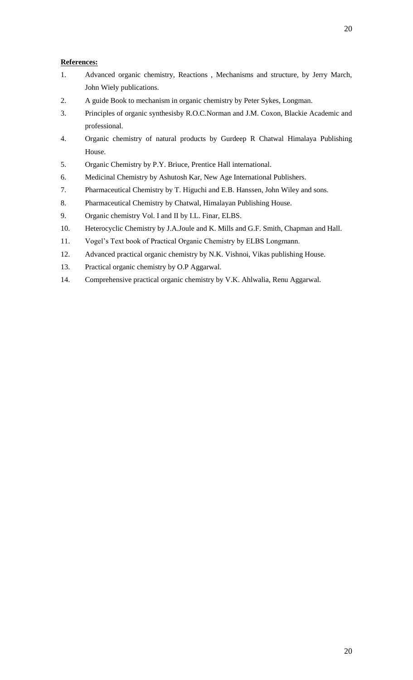# **References:**

- 1. Advanced organic chemistry, Reactions , Mechanisms and structure, by Jerry March, John Wiely publications.
- 2. A guide Book to mechanism in organic chemistry by Peter Sykes, Longman.
- 3. Principles of organic synthesisby R.O.C.Norman and J.M. Coxon, Blackie Academic and professional.
- 4. Organic chemistry of natural products by Gurdeep R Chatwal Himalaya Publishing House.
- 5. Organic Chemistry by P.Y. Briuce, Prentice Hall international.
- 6. Medicinal Chemistry by Ashutosh Kar, New Age International Publishers.
- 7. Pharmaceutical Chemistry by T. Higuchi and E.B. Hanssen, John Wiley and sons.
- 8. Pharmaceutical Chemistry by Chatwal, Himalayan Publishing House.
- 9. Organic chemistry Vol. I and II by I.L. Finar, ELBS.
- 10. Heterocyclic Chemistry by J.A.Joule and K. Mills and G.F. Smith, Chapman and Hall.
- 11. Vogel's Text book of Practical Organic Chemistry by ELBS Longmann.
- 12. Advanced practical organic chemistry by N.K. Vishnoi, Vikas publishing House.
- 13. Practical organic chemistry by O.P Aggarwal.
- 14. Comprehensive practical organic chemistry by V.K. Ahlwalia, Renu Aggarwal.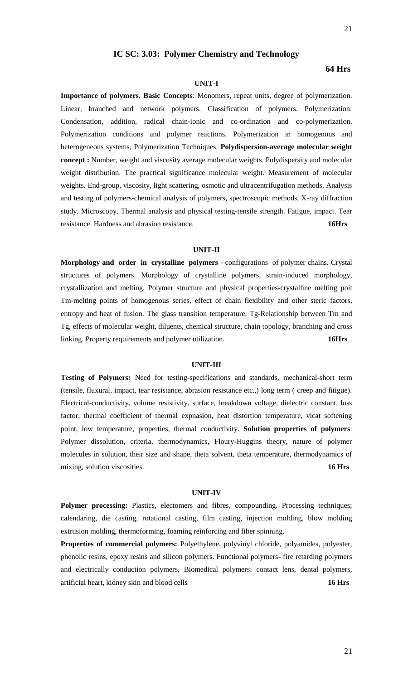#### **IC SC: 3.03: Polymer Chemistry and Technology**

## **64 Hrs**

#### **UNIT-I**

**Importance of polymers. Basic Concepts**: Monomers, repeat units, degree of polymerization. Linear, branched and network polymers. Classification of polymers. Polymerization: Condensation, addition, radical chain-ionic and co-ordination and co-polymerization. Polymerization conditions and polymer reactions. Polymerization in homogenous and heterogeneous systems, Polymerization Techniques. **Polydispersion-average molecular weight concept :** Number, weight and viscosity average molecular weights. Polydispersity and molecular weight distribution. The practical significance molecular weight. Measurement of molecular weights. End-group, viscosity, light scattering, osmotic and ultracentrifugation methods. Analysis and testing of polymers-chemical analysis of polymers, spectroscopic methods, X-ray diffraction study. Microscopy. Thermal analysis and physical testing-tensile strength. Fatigue, impact. Tear resistance. Hardness and abrasion resistance. **16Hrs**

#### **UNIT-II**

**Morphology and order in crystalline polymers** - configurations of polymer chains. Crystal structures of polymers. Morphology of crystalline polymers, strain-induced morphology, crystallization and melting. Polymer structure and physical properties-crystalline melting poit Tm-melting points of homogenous series, effect of chain flexibility and other steric factors, entropy and heat of fusion. The glass transition temperature, Tg-Relationship between Tm and Tg, effects of molecular weight, diluents, chemical structure, chain topology, branching and cross linking. Property requirements and polymer utilization. **16Hrs**

#### **UNIT-III**

**Testing of Polymers:** Need for testing-specifications and standards, mechanical-short term (tensile, fluxural, impact, tear resistance, abrasion resistance etc.,) long term ( creep and fitigue). Electrical-conductivity, volume resistivity, surface, breakdown voltage, dielectric constant, loss factor, thermal coefficient of thermal expnasion, heat distortion temperature, vicat softening point, low temperature, properties, thermal conductivity. **Solution properties of polymers**: Polymer dissolution, criteria, thermodynamics, Floury-Huggins theory, nature of polymer molecules in solution, their size and shape, theta solvent, theta temperature, thermodynamics of mixing, solution viscosities. **16 Hrs**

#### **UNIT-IV**

**Polymer processing:** Plastics, electomers and fibres, compounding. Processing techniques; calendaring, die casting, rotational casting, film casting, injection molding, blow molding extrusion molding, thermoforming, foaming reinforcing and fiber spinning.

**Properties of commercial polymers:** Polyethylene, polyvinyl chloride, polyamides, polyester, phenolic resins, epoxy resins and silicon polymers. Functional polymers- fire retarding polymers and electrically conduction polymers, Biomedical polymers: contact lens, dental polymers, artificial heart, kidney skin and blood cells **16 Hrs**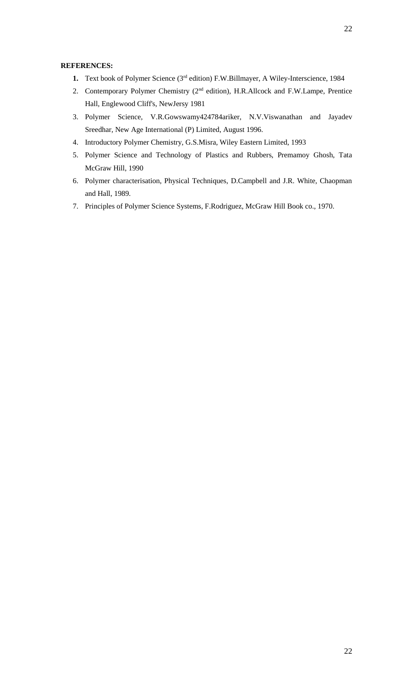- 1. Text book of Polymer Science (3<sup>rd</sup> edition) F.W.Billmayer, A Wiley-Interscience, 1984
- 2. Contemporary Polymer Chemistry (2nd edition), H.R.Allcock and F.W.Lampe, Prentice Hall, Englewood Cliff's, NewJersy 1981
- 3. Polymer Science, V.R.Gowswamy424784ariker, N.V.Viswanathan and Jayadev Sreedhar, New Age International (P) Limited, August 1996.
- 4. Introductory Polymer Chemistry, G.S.Misra, Wiley Eastern Limited, 1993
- 5. Polymer Science and Technology of Plastics and Rubbers, Premamoy Ghosh, Tata McGraw Hill, 1990
- 6. Polymer characterisation, Physical Techniques, D.Campbell and J.R. White, Chaopman and Hall, 1989.
- 7. Principles of Polymer Science Systems, F.Rodriguez, McGraw Hill Book co., 1970.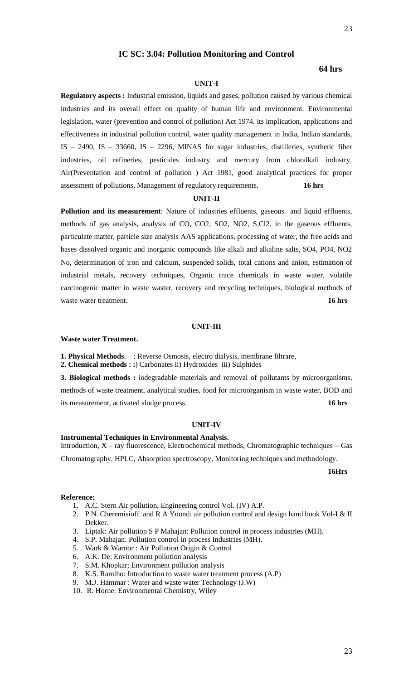# **IC SC: 3.04: Pollution Monitoring and Control**

# **64 hrs**

# **UNIT-I**

**Regulatory aspects :** Industrial emission, liquids and gases, pollution caused by various chemical industries and its overall effect on quality of human life and environment. Environmental legislation, water (prevention and control of pollution) Act 1974. its implication, applications and effectiveness in industrial pollution control, water quality management in India, Indian standards, IS  $-$  2490, IS  $-$  33660, IS  $-$  2296, MINAS for sugar industries, distilleries, synthetic fiber industries, oil refineries, pesticides industry and mercury from chloralkali industry, Air(Preventation and control of pollution ) Act 1981, good analytical practices for proper assessment of pollutions, Management of regulatory requirements. **16 hrs**

#### **UNIT-II**

**Pollution and its measurement**: Nature of industries effluents, gaseous and liquid effluents, methods of gas analysis, analysis of CO, CO2, SO2, NO2, S,Cl2, in the gaseous effluents, particulate matter, particle size analysis AAS applications, processing of water, the free acids and bases dissolved organic and inorganic compounds like alkali and alkaline salts, SO4, PO4, NO2 No, determination of iron and calcium, suspended solids, total cations and anion, estimation of industrial metals, recovery techniques, Organic trace chemicals in waste water, volatile carcinogenic matter in waste waster, recovery and recycling techniques, biological methods of waste water treatment. **16 hrs 16 hrs 16 hrs** 

#### **UNIT-III**

#### **Waste water Treatment.**

**1. Physical Methods**. : Reverse Osmosis, electro dialysis, membrane filtrare,

**2. Chemical methods :** i) Carbonates ii) Hydroxides iii) Sulphides

**3. Biological methods :** iodegradable materials and removal of pollutants by microorganisms, methods of waste treatment, analytical studies, food for microorganism in waste water, BOD and its measurement, activated sludge process. **16 hrs**

#### **UNIT-IV**

#### **Instrumental Techniques in Environmental Analysis.**

Introduction, X – ray fluorescence, Electrochemical methods, Chromatographic techniques – Gas Chromatography, HPLC, Absorption spectroscopy, Monitoring techniques and methodology.

**16Hrs**

#### **Reference:**

- 1. A.C. Stern Air pollution, Engineering control Vol. (IV) A.P.
- 2. P.N. Cheremisioff and R A Yound: air pollution control and design hand book Vol-I & II Dekker.
- 3. Liptak: Air pollution S P Mahajan: Pollution control in process industries (MH).
- 4. S.P. Mahajan: Pollution control in process Industries (MH).
- 5. Wark & Warnor : Air Pollution Origin & Control
- 6. A.K. De: Environment pollution analysis
- 7. S.M. Khopkar; Environment pollution analysis
- 8. K.S. Ramlho: Introduction to waste water treatment process (A.P)
- 9. M.J. Hammar : Water and waste water Technology (J.W)
- 10. R. Horne: Environmental Chemistry, Wiley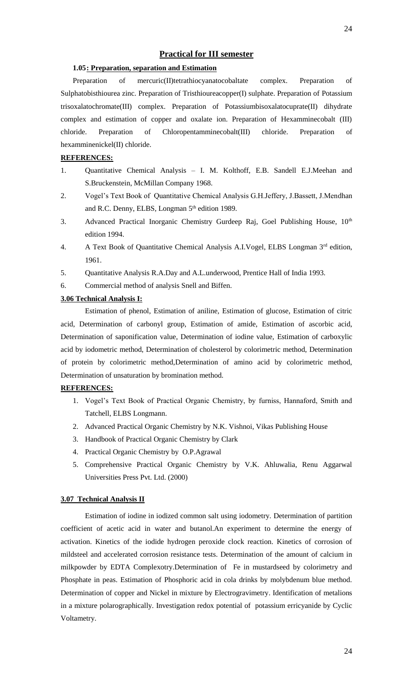# **Practical for III semester**

#### **1.05: Preparation, separation and Estimation**

Preparation of mercuric(II)tetrathiocyanatocobaltate complex. Preparation of Sulphatobisthiourea zinc. Preparation of Tristhioureacopper(I) sulphate. Preparation of Potassium trisoxalatochromate(III) complex. Preparation of Potassiumbisoxalatocuprate(II) dihydrate complex and estimation of copper and oxalate ion. Preparation of Hexamminecobalt (III) chloride. Preparation of Chloropentamminecobalt(III) chloride. Preparation of hexamminenickel(II) chloride.

#### **REFERENCES:**

- 1. Quantitative Chemical Analysis I. M. Kolthoff, E.B. Sandell E.J.Meehan and S.Bruckenstein, McMillan Company 1968.
- 2. Vogel's Text Book of Quantitative Chemical Analysis G.H.Jeffery, J.Bassett, J.Mendhan and R.C. Denny, ELBS, Longman 5<sup>th</sup> edition 1989.
- 3. Advanced Practical Inorganic Chemistry Gurdeep Raj, Goel Publishing House,  $10^{th}$ edition 1994.
- 4. A Text Book of Quantitative Chemical Analysis A.I.Vogel, ELBS Longman 3<sup>rd</sup> edition, 1961.
- 5. Quantitative Analysis R.A.Day and A.L.underwood, Prentice Hall of India 1993.
- 6. Commercial method of analysis Snell and Biffen.

# **3.06 Technical Analysis I:**

Estimation of phenol, Estimation of aniline, Estimation of glucose, Estimation of citric acid, Determination of carbonyl group, Estimation of amide, Estimation of ascorbic acid, Determination of saponification value, Determination of iodine value, Estimation of carboxylic acid by iodometric method, Determination of cholesterol by colorimetric method, Determination of protein by colorimetric method,Determination of amino acid by colorimetric method, Determination of unsaturation by bromination method.

## **REFERENCES:**

- 1. Vogel's Text Book of Practical Organic Chemistry, by furniss, Hannaford, Smith and Tatchell, ELBS Longmann.
- 2. Advanced Practical Organic Chemistry by N.K. Vishnoi, Vikas Publishing House
- 3. Handbook of Practical Organic Chemistry by Clark
- 4. Practical Organic Chemistry by O.P.Agrawal
- 5. Comprehensive Practical Organic Chemistry by V.K. Ahluwalia, Renu Aggarwal Universities Press Pvt. Ltd. (2000)

#### **3.07 Technical Analysis II**

Estimation of iodine in iodized common salt using iodometry. Determination of partition coefficient of acetic acid in water and butanol.An experiment to determine the energy of activation. Kinetics of the iodide hydrogen peroxide clock reaction. Kinetics of corrosion of mildsteel and accelerated corrosion resistance tests. Determination of the amount of calcium in milkpowder by EDTA Complexotry.Determination of Fe in mustardseed by colorimetry and Phosphate in peas. Estimation of Phosphoric acid in cola drinks by molybdenum blue method. Determination of copper and Nickel in mixture by Electrogravimetry. Identification of metalions in a mixture polarographically. Investigation redox potential of potassium erricyanide by Cyclic Voltametry.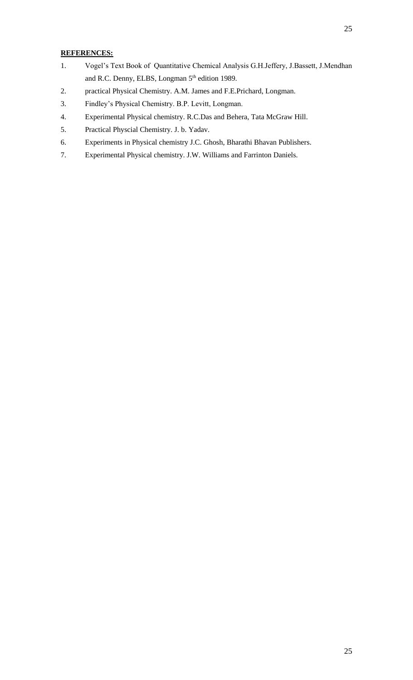- 1. Vogel's Text Book of Quantitative Chemical Analysis G.H.Jeffery, J.Bassett, J.Mendhan and R.C. Denny, ELBS, Longman 5<sup>th</sup> edition 1989.
- 2. practical Physical Chemistry. A.M. James and F.E.Prichard, Longman.
- 3. Findley's Physical Chemistry. B.P. Levitt, Longman.
- 4. Experimental Physical chemistry. R.C.Das and Behera, Tata McGraw Hill.
- 5. Practical Physcial Chemistry. J. b. Yadav.
- 6. Experiments in Physical chemistry J.C. Ghosh, Bharathi Bhavan Publishers.
- 7. Experimental Physical chemistry. J.W. Williams and Farrinton Daniels.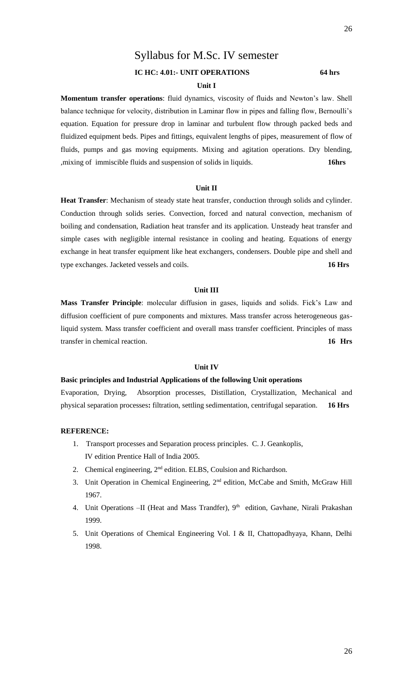# Syllabus for M.Sc. IV semester

# **IC HC: 4.01:- UNIT OPERATIONS 64 hrs**

### **Unit I**

**Momentum transfer operations**: fluid dynamics, viscosity of fluids and Newton's law. Shell balance technique for velocity, distribution in Laminar flow in pipes and falling flow, Bernoulli's equation. Equation for pressure drop in laminar and turbulent flow through packed beds and fluidized equipment beds. Pipes and fittings, equivalent lengths of pipes, measurement of flow of fluids, pumps and gas moving equipments. Mixing and agitation operations. Dry blending, ,mixing of immiscible fluids and suspension of solids in liquids. **16hrs**

#### **Unit II**

**Heat Transfer**: Mechanism of steady state heat transfer, conduction through solids and cylinder. Conduction through solids series. Convection, forced and natural convection, mechanism of boiling and condensation, Radiation heat transfer and its application. Unsteady heat transfer and simple cases with negligible internal resistance in cooling and heating. Equations of energy exchange in heat transfer equipment like heat exchangers, condensers. Double pipe and shell and type exchanges. Jacketed vessels and coils. **16 Hrs**

## **Unit III**

**Mass Transfer Principle**: molecular diffusion in gases, liquids and solids. Fick's Law and diffusion coefficient of pure components and mixtures. Mass transfer across heterogeneous gasliquid system. Mass transfer coefficient and overall mass transfer coefficient. Principles of mass transfer in chemical reaction. **16 Hrs**

#### **Unit IV**

#### **Basic principles and Industrial Applications of the following Unit operations**

Evaporation, Drying, Absorption processes, Distillation, Crystallization, Mechanical and physical separation processes**:** filtration, settling sedimentation, centrifugal separation. **16 Hrs**

- 1. Transport processes and Separation process principles. C. J. Geankoplis, IV edition Prentice Hall of India 2005.
- 2. Chemical engineering,  $2<sup>nd</sup>$  edition. ELBS, Coulsion and Richardson.
- 3. Unit Operation in Chemical Engineering, 2nd edition, McCabe and Smith, McGraw Hill 1967.
- 4. Unit Operations -II (Heat and Mass Trandfer), 9<sup>th</sup> edition, Gavhane, Nirali Prakashan 1999.
- 5. Unit Operations of Chemical Engineering Vol. I & II, Chattopadhyaya, Khann, Delhi 1998.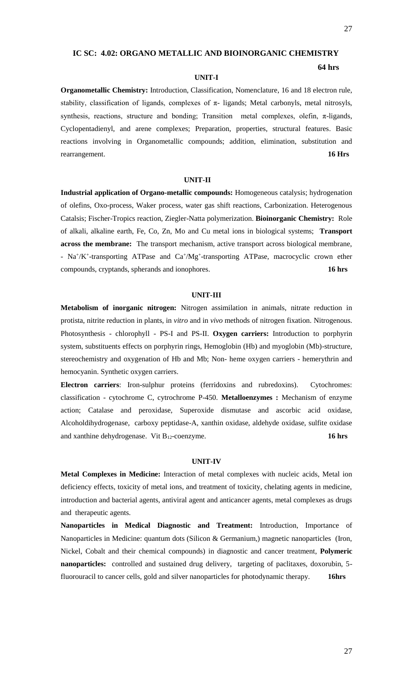**64 hrs**

# **IC SC: 4.02: ORGANO METALLIC AND BIOINORGANIC CHEMISTRY**

#### **UNIT-I**

**Organometallic Chemistry:** Introduction, Classification, Nomenclature, 16 and 18 electron rule, stability, classification of ligands, complexes of  $\pi$ - ligands; Metal carbonyls, metal nitrosyls, synthesis, reactions, structure and bonding; Transition metal complexes, olefin,  $\pi$ -ligands, Cyclopentadienyl, and arene complexes; Preparation, properties, structural features. Basic reactions involving in Organometallic compounds; addition, elimination, substitution and rearrangement. **16 Hrs**

#### **UNIT-II**

**Industrial application of Organo-metallic compounds:** Homogeneous catalysis; hydrogenation of olefins, Oxo-process, Waker process, water gas shift reactions, Carbonization. Heterogenous Catalsis; Fischer-Tropics reaction, Ziegler-Natta polymerization. **Bioinorganic Chemistry:** Role of alkali, alkaline earth, Fe, Co, Zn, Mo and Cu metal ions in biological systems; **Transport across the membrane:** The transport mechanism, active transport across biological membrane, - Na<sup>+</sup>/K<sup>+</sup>-transporting ATPase and Ca<sup>+</sup>/Mg<sup>+</sup>-transporting ATPase, macrocyclic crown ether compounds, cryptands, spherands and ionophores. **16 hrs**

#### **UNIT-III**

**Metabolism of inorganic nitrogen:** Nitrogen assimilation in animals, nitrate reduction in protista, nitrite reduction in plants, in *vitro* and in *vivo* methods of nitrogen fixation. Nitrogenous. Photosynthesis - chlorophyll - PS-I and PS-II. **Oxygen carriers:** Introduction to porphyrin system, substituents effects on porphyrin rings, Hemoglobin (Hb) and myoglobin (Mb)-structure, stereochemistry and oxygenation of Hb and Mb; Non- heme oxygen carriers - hemerythrin and hemocyanin. Synthetic oxygen carriers.

**Electron carriers**: Iron-sulphur proteins (ferridoxins and rubredoxins). Cytochromes: classification - cytochrome C, cytrochrome P-450. **Metalloenzymes :** Mechanism of enzyme action; Catalase and peroxidase, Superoxide dismutase and ascorbic acid oxidase, Alcoholdihydrogenase, carboxy peptidase-A, xanthin oxidase, aldehyde oxidase, sulfite oxidase and xanthine dehydrogenase. Vit B<sub>12</sub>-coenzyme. **16 hrs** 

#### **UNIT-IV**

**Metal Complexes in Medicine:** Interaction of metal complexes with nucleic acids, Metal ion deficiency effects, toxicity of metal ions, and treatment of toxicity, chelating agents in medicine, introduction and bacterial agents, antiviral agent and anticancer agents, metal complexes as drugs and therapeutic agents.

**Nanoparticles in Medical Diagnostic and Treatment:** Introduction, Importance of Nanoparticles in Medicine: quantum dots (Silicon & Germanium,) magnetic nanoparticles (Iron, Nickel, Cobalt and their chemical compounds) in diagnostic and cancer treatment, **Polymeric nanoparticles:** controlled and sustained drug delivery, targeting of paclitaxes, doxorubin, 5 fluorouracil to cancer cells, gold and silver nanoparticles for photodynamic therapy. **16hrs**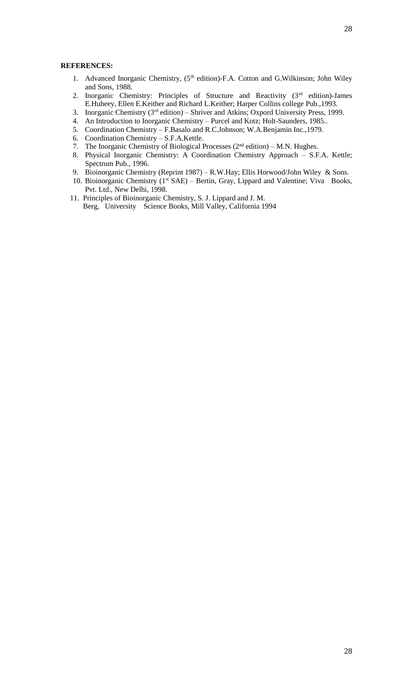- 1. Advanced Inorganic Chemistry, (5<sup>th</sup> edition)-F.A. Cotton and G.Wilkinson; John Wiley and Sons, 1988.
- 2. Inorganic Chemistry: Principles of Structure and Reactivity (3rd edition)-James E.Huheey, Ellen E.Keither and Richard L.Keither; Harper Collins college Pub.,1993.
- 3. Inorganic Chemistry ( $3<sup>rd</sup>$  edition) Shriver and Atkins; Oxpord University Press, 1999.
- 4. An Introduction to Inorganic Chemistry Purcel and Kotz; Holt-Saunders, 1985..
- 5. Coordination Chemistry F.Basalo and R.C.Johnson; W.A.Benjamin Inc.,1979.
- 6. Coordination Chemistry S.F.A.Kettle.
- 7. The Inorganic Chemistry of Biological Processes  $(2<sup>nd</sup> edition) M.N. Hughes.$
- 8. Physical Inorganic Chemistry: A Coordination Chemistry Approach S.F.A. Kettle; Spectrum Pub., 1996.
- 9. Bioinorganic Chemistry (Reprint 1987) R.W.Hay; Ellis Horwood/John Wiley & Sons.
- 10. Bioinorganic Chemistry  $(1<sup>st</sup> SAE)$  Bertin, Gray, Lippard and Valentine; Viva Books, Pvt. Ltd., New Delhi, 1998.
- 11. Principles of Bioinorganic Chemistry, S. J. Lippard and J. M. Berg, University Science Books, Mill Valley, California 1994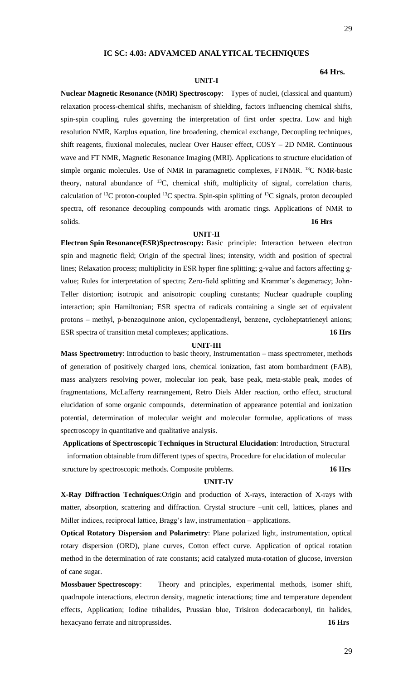### **IC SC: 4.03: ADVAMCED ANALYTICAL TECHNIQUES**

#### **UNIT-I**

#### **64 Hrs.**

**Nuclear Magnetic Resonance (NMR) Spectroscopy**: Types of nuclei, (classical and quantum) relaxation process-chemical shifts, mechanism of shielding, factors influencing chemical shifts, spin-spin coupling, rules governing the interpretation of first order spectra. Low and high resolution NMR, Karplus equation, line broadening, chemical exchange, Decoupling techniques, shift reagents, fluxional molecules, nuclear Over Hauser effect, COSY – 2D NMR. Continuous wave and FT NMR, Magnetic Resonance Imaging (MRI). Applications to structure elucidation of simple organic molecules. Use of NMR in paramagnetic complexes, FTNMR. <sup>13</sup>C NMR-basic theory, natural abundance of  $^{13}C$ , chemical shift, multiplicity of signal, correlation charts, calculation of  $^{13}C$  proton-coupled  $^{13}C$  spectra. Spin-spin splitting of  $^{13}C$  signals, proton decoupled spectra, off resonance decoupling compounds with aromatic rings. Applications of NMR to solids. **16 Hrs**

#### **UNIT-II**

**Electron Spin Resonance(ESR)Spectroscopy:** Basic principle: Interaction between electron spin and magnetic field; Origin of the spectral lines; intensity, width and position of spectral lines; Relaxation process; multiplicity in ESR hyper fine splitting; g-value and factors affecting gvalue; Rules for interpretation of spectra; Zero-field splitting and Krammer's degeneracy; John-Teller distortion; isotropic and anisotropic coupling constants; Nuclear quadruple coupling interaction; spin Hamiltonian; ESR spectra of radicals containing a single set of equivalent protons – methyl, p-benzoquinone anion, cyclopentadienyl, benzene, cycloheptatrieneyl anions; ESR spectra of transition metal complexes; applications. **16 Hrs**

#### **UNIT-III**

**Mass Spectrometry**: Introduction to basic theory, Instrumentation – mass spectrometer, methods of generation of positively charged ions, chemical ionization, fast atom bombardment (FAB), mass analyzers resolving power, molecular ion peak, base peak, meta-stable peak, modes of fragmentations, McLafferty rearrangement, Retro Diels Alder reaction, ortho effect, structural elucidation of some organic compounds, determination of appearance potential and ionization potential, determination of molecular weight and molecular formulae, applications of mass spectroscopy in quantitative and qualitative analysis.

**Applications of Spectroscopic Techniques in Structural Elucidation**: Introduction, Structural information obtainable from different types of spectra, Procedure for elucidation of molecular

structure by spectroscopic methods. Composite problems. **16 Hrs**

#### **UNIT-IV**

**X-Ray Diffraction Techniques**:Origin and production of X-rays, interaction of X-rays with matter, absorption, scattering and diffraction. Crystal structure –unit cell, lattices, planes and Miller indices, reciprocal lattice, Bragg's law, instrumentation – applications.

**Optical Rotatory Dispersion and Polarimetry**: Plane polarized light, instrumentation, optical rotary dispersion (ORD), plane curves, Cotton effect curve. Application of optical rotation method in the determination of rate constants; acid catalyzed muta-rotation of glucose, inversion of cane sugar.

**Mossbauer Spectroscopy**: Theory and principles, experimental methods, isomer shift, quadrupole interactions, electron density, magnetic interactions; time and temperature dependent effects, Application; Iodine trihalides, Prussian blue, Trisiron dodecacarbonyl, tin halides, hexacyano ferrate and nitroprussides. **16 Hrs**